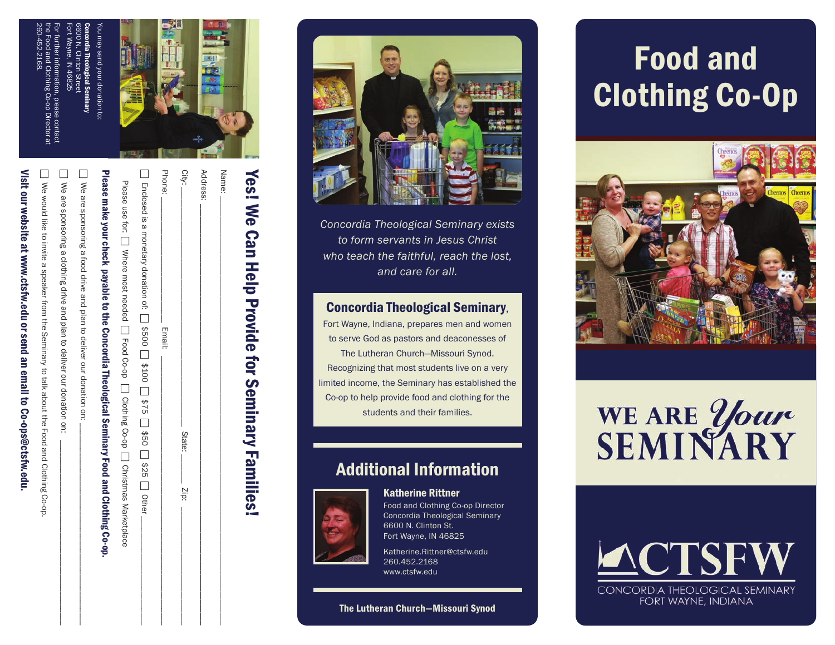

| Yes! We Can Help Provide for Seminary Families!                                                  |
|--------------------------------------------------------------------------------------------------|
| Name:                                                                                            |
| Address:                                                                                         |
| City:<br>State:<br>$z$ <sub>ip</sub> :                                                           |
| Phone:<br><b>Email:</b>                                                                          |
| □ Enclosed is a monetary donation of: □ \$500 □ \$100 □ \$75 □ \$75 □ \$90 □ \$25 □ \$10         |
|                                                                                                  |
| Pussos contributo your check basic of the Concordial Peerinia Liberal of the So-on-              |
| We are sponsoring a food drive and plan to deliver our donation on:                              |
| We are sponsoring a clothing drive and plan to deliver our donation on:                          |
| □ We would like to invite a speaker from the Seminary to talk about the Food and Clothing Co-op. |
| Visit our website at www.ctsfw.edu or send an email to Co-ops@ctsfw.edu.                         |

Visit our website at www.ctsfw.edu or send an email to Co-ops@ctsfw.edu

*Concordia Theological Seminary exists to form servants in Jesus Christ who teach the faithful, reach the lost, and care for all.*

#### Concordia Theological Seminary,

Fort Wayne, Indiana, prepares men and women to serve God as pastors and deaconesses of The Lutheran Church—Missouri Synod. Recognizing that most students live on a very limited income, the Seminary has established the Co-op to help provide food and clothing for the students and their families.

### Additional Information



### Katherine Rittner

Food and Clothing Co-op Director Concordia Theological Seminary 6600 N. Clinton St. Fort Wayne, IN 46825

Katherine.Rittner@ctsfw.edu 260.452.2168 www.ctsfw.edu

#### The Lutheran Church—Missouri Synod

# Food and Clothing Co-Op